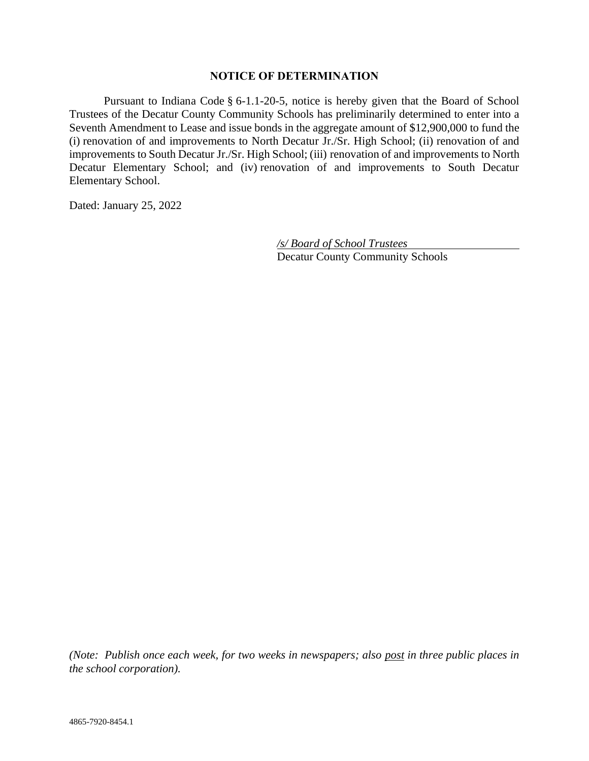## **NOTICE OF DETERMINATION**

Pursuant to Indiana Code § 6-1.1-20-5, notice is hereby given that the Board of School Trustees of the Decatur County Community Schools has preliminarily determined to enter into a Seventh Amendment to Lease and issue bonds in the aggregate amount of \$12,900,000 to fund the (i) renovation of and improvements to North Decatur Jr./Sr. High School; (ii) renovation of and improvements to South Decatur Jr./Sr. High School; (iii) renovation of and improvements to North Decatur Elementary School; and (iv) renovation of and improvements to South Decatur Elementary School.

Dated: January 25, 2022

*/s/ Board of School Trustees* Decatur County Community Schools

*(Note: Publish once each week, for two weeks in newspapers; also post in three public places in the school corporation).*